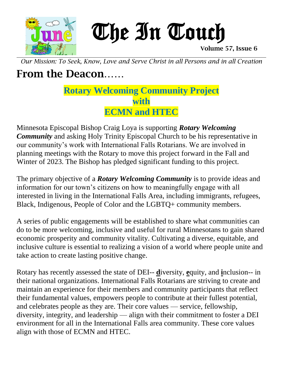

 The In Touch Uhe In Couch

*Our Mission: To Seek, Know, Love and Serve Christ in all Persons and in all Creation*

## From the Deacon……

**Rotary Welcoming Community Project with ECMN and HTEC**

Minnesota Episcopal Bishop Craig Loya is supporting *Rotary Welcoming Community* and asking Holy Trinity Episcopal Church to be his representative in our community's work with International Falls Rotarians. We are involved in planning meetings with the Rotary to move this project forward in the Fall and Winter of 2023. The Bishop has pledged significant funding to this project.

The primary objective of a *Rotary Welcoming Community* is to provide ideas and information for our town's citizens on how to meaningfully engage with all interested in living in the International Falls Area, including immigrants, refugees, Black, Indigenous, People of Color and the LGBTQ+ community members.

A series of public engagements will be established to share what communities can do to be more welcoming, inclusive and useful for rural Minnesotans to gain shared economic prosperity and community vitality. Cultivating a diverse, equitable, and inclusive culture is essential to realizing a vision of a world where people unite and take action to create lasting positive change.

Rotary has recently assessed the state of DEI-- **d**iversity, **e**quity, and **i**nclusion-- in their national organizations. International Falls Rotarians are striving to create and maintain an experience for their members and community participants that reflect their fundamental values, empowers people to contribute at their fullest potential, and celebrates people as they are. Their core values — service, fellowship, diversity, integrity, and leadership — align with their commitment to foster a DEI environment for all in the International Falls area community. These core values align with those of ECMN and HTEC.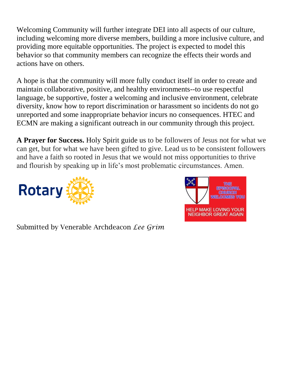Welcoming Community will further integrate DEI into all aspects of our culture, including welcoming more diverse members, building a more inclusive culture, and providing more equitable opportunities. The project is expected to model this behavior so that community members can recognize the effects their words and actions have on others.

A hope is that the community will more fully conduct itself in order to create and maintain collaborative, positive, and healthy environments--to use respectful language, be supportive, foster a welcoming and inclusive environment, celebrate diversity, know how to report discrimination or harassment so incidents do not go unreported and some inappropriate behavior incurs no consequences. HTEC and ECMN are making a significant outreach in our community through this project.

**A Prayer for Success.** Holy Spirit guide us to be followers of Jesus not for what we can get, but for what we have been gifted to give. Lead us to be consistent followers and have a faith so rooted in Jesus that we would not miss opportunities to thrive and flourish by speaking up in life's most problematic circumstances. Amen.





Submitted by Venerable Archdeacon *Lee Grim*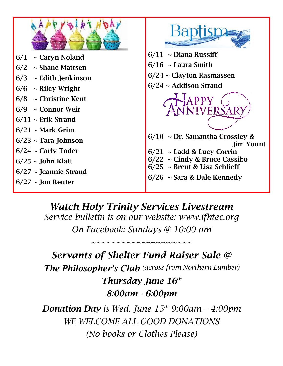

## *Watch Holy Trinity Services Livestream*

*Service bulletin is on our website: www.ifhtec.org On Facebook: Sundays @ 10:00 am*

*~~~~~~~~~~~~~~~~~~~~*

## *Servants of Shelter Fund Raiser Sale @ The Philosopher's Club (across from Northern Lumber) Thursday June 16th 8:00am - 6:00pm*

*Donation Day is Wed. June 15th 9:00am – 4:00pm WE WELCOME ALL GOOD DONATIONS (No books or Clothes Please)*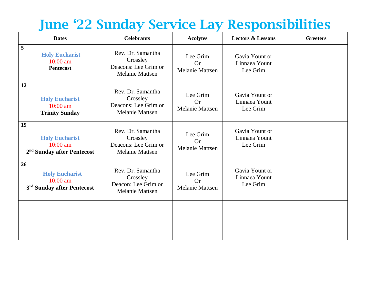## June '22 Sunday Service Lay Responsibilities

| <b>Dates</b>                                                                        | <b>Celebrants</b>                                                               | <b>Acolytes</b>                                 | <b>Lectors &amp; Lessons</b>                | <b>Greeters</b> |
|-------------------------------------------------------------------------------------|---------------------------------------------------------------------------------|-------------------------------------------------|---------------------------------------------|-----------------|
| 5<br><b>Holy Eucharist</b><br>$10:00$ am<br><b>Pentecost</b>                        | Rev. Dr. Samantha<br>Crossley<br>Deacons: Lee Grim or<br><b>Melanie Mattsen</b> | Lee Grim<br><b>Or</b><br><b>Melanie Mattsen</b> | Gavia Yount or<br>Linnaea Yount<br>Lee Grim |                 |
| 12<br><b>Holy Eucharist</b><br>$10:00$ am<br><b>Trinity Sunday</b>                  | Rev. Dr. Samantha<br>Crossley<br>Deacons: Lee Grim or<br><b>Melanie Mattsen</b> | Lee Grim<br><b>Or</b><br><b>Melanie Mattsen</b> | Gavia Yount or<br>Linnaea Yount<br>Lee Grim |                 |
| 19<br><b>Holy Eucharist</b><br>$10:00$ am<br>2 <sup>nd</sup> Sunday after Pentecost | Rev. Dr. Samantha<br>Crossley<br>Deacons: Lee Grim or<br><b>Melanie Mattsen</b> | Lee Grim<br><b>Or</b><br><b>Melanie Mattsen</b> | Gavia Yount or<br>Linnaea Yount<br>Lee Grim |                 |
| 26<br><b>Holy Eucharist</b><br>$10:00$ am<br>3 <sup>rd</sup> Sunday after Pentecost | Rev. Dr. Samantha<br>Crossley<br>Deacon: Lee Grim or<br><b>Melanie Mattsen</b>  | Lee Grim<br><b>Or</b><br><b>Melanie Mattsen</b> | Gavia Yount or<br>Linnaea Yount<br>Lee Grim |                 |
|                                                                                     |                                                                                 |                                                 |                                             |                 |